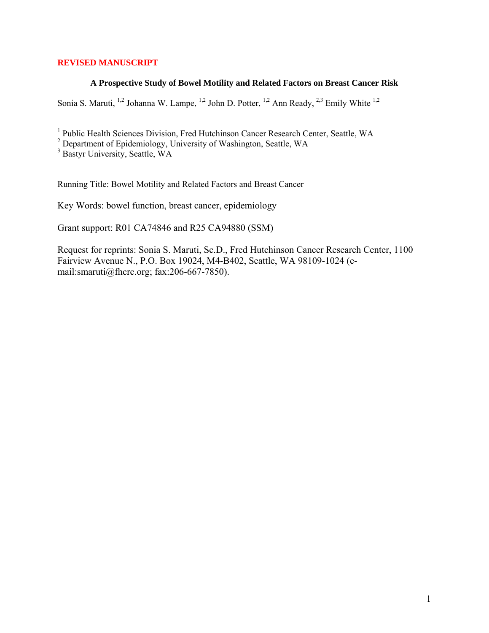# **REVISED MANUSCRIPT**

## **A Prospective Study of Bowel Motility and Related Factors on Breast Cancer Risk**

Sonia S. Maruti, <sup>1,2</sup> Johanna W. Lampe, <sup>1,2</sup> John D. Potter, <sup>1,2</sup> Ann Ready, <sup>2,3</sup> Emily White <sup>1,2</sup>

<sup>1</sup> Public Health Sciences Division, Fred Hutchinson Cancer Research Center, Seattle, WA

<sup>2</sup> Department of Epidemiology, University of Washington, Seattle, WA

3 Bastyr University, Seattle, WA

Running Title: Bowel Motility and Related Factors and Breast Cancer

Key Words: bowel function, breast cancer, epidemiology

Grant support: R01 CA74846 and R25 CA94880 (SSM)

Request for reprints: Sonia S. Maruti, Sc.D., Fred Hutchinson Cancer Research Center, 1100 Fairview Avenue N., P.O. Box 19024, M4-B402, Seattle, WA 98109-1024 (email:smaruti@fhcrc.org; fax:206-667-7850).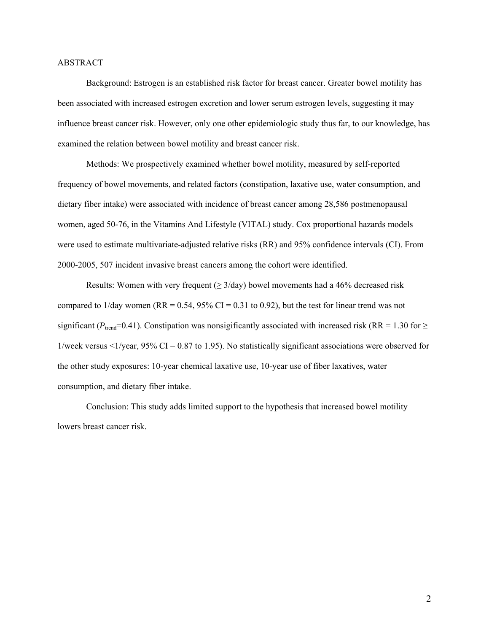### ABSTRACT

Background: Estrogen is an established risk factor for breast cancer. Greater bowel motility has been associated with increased estrogen excretion and lower serum estrogen levels, suggesting it may influence breast cancer risk. However, only one other epidemiologic study thus far, to our knowledge, has examined the relation between bowel motility and breast cancer risk.

Methods: We prospectively examined whether bowel motility, measured by self-reported frequency of bowel movements, and related factors (constipation, laxative use, water consumption, and dietary fiber intake) were associated with incidence of breast cancer among 28,586 postmenopausal women, aged 50-76, in the Vitamins And Lifestyle (VITAL) study. Cox proportional hazards models were used to estimate multivariate-adjusted relative risks (RR) and 95% confidence intervals (CI). From 2000-2005, 507 incident invasive breast cancers among the cohort were identified.

Results: Women with very frequent  $(≥ 3/day)$  bowel movements had a 46% decreased risk compared to  $1$ /day women (RR = 0.54, 95% CI = 0.31 to 0.92), but the test for linear trend was not significant ( $P_{\text{trend}}$ =0.41). Constipation was nonsigificantly associated with increased risk (RR = 1.30 for  $\geq$ 1/week versus  $\leq 1$ /year, 95% CI = 0.87 to 1.95). No statistically significant associations were observed for the other study exposures: 10-year chemical laxative use, 10-year use of fiber laxatives, water consumption, and dietary fiber intake.

Conclusion: This study adds limited support to the hypothesis that increased bowel motility lowers breast cancer risk.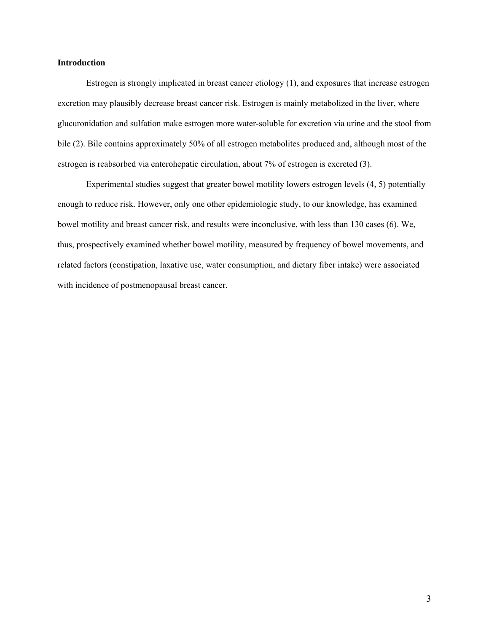## **Introduction**

Estrogen is strongly implicated in breast cancer etiology (1), and exposures that increase estrogen excretion may plausibly decrease breast cancer risk. Estrogen is mainly metabolized in the liver, where glucuronidation and sulfation make estrogen more water-soluble for excretion via urine and the stool from bile (2). Bile contains approximately 50% of all estrogen metabolites produced and, although most of the estrogen is reabsorbed via enterohepatic circulation, about 7% of estrogen is excreted (3).

Experimental studies suggest that greater bowel motility lowers estrogen levels (4, 5) potentially enough to reduce risk. However, only one other epidemiologic study, to our knowledge, has examined bowel motility and breast cancer risk, and results were inconclusive, with less than 130 cases (6). We, thus, prospectively examined whether bowel motility, measured by frequency of bowel movements, and related factors (constipation, laxative use, water consumption, and dietary fiber intake) were associated with incidence of postmenopausal breast cancer.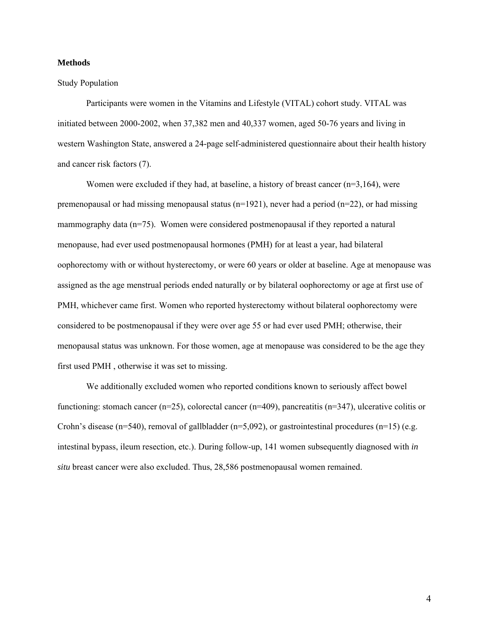#### **Methods**

### Study Population

Participants were women in the Vitamins and Lifestyle (VITAL) cohort study. VITAL was initiated between 2000-2002, when 37,382 men and 40,337 women, aged 50-76 years and living in western Washington State, answered a 24-page self-administered questionnaire about their health history and cancer risk factors (7).

Women were excluded if they had, at baseline, a history of breast cancer (n=3,164), were premenopausal or had missing menopausal status ( $n=1921$ ), never had a period ( $n=22$ ), or had missing mammography data (n=75). Women were considered postmenopausal if they reported a natural menopause, had ever used postmenopausal hormones (PMH) for at least a year, had bilateral oophorectomy with or without hysterectomy, or were 60 years or older at baseline. Age at menopause was assigned as the age menstrual periods ended naturally or by bilateral oophorectomy or age at first use of PMH, whichever came first. Women who reported hysterectomy without bilateral oophorectomy were considered to be postmenopausal if they were over age 55 or had ever used PMH; otherwise, their menopausal status was unknown. For those women, age at menopause was considered to be the age they first used PMH , otherwise it was set to missing.

We additionally excluded women who reported conditions known to seriously affect bowel functioning: stomach cancer ( $n=25$ ), colorectal cancer ( $n=409$ ), pancreatitis ( $n=347$ ), ulcerative colitis or Crohn's disease (n=540), removal of gallbladder (n=5,092), or gastrointestinal procedures (n=15) (e.g. intestinal bypass, ileum resection, etc.). During follow-up, 141 women subsequently diagnosed with *in situ* breast cancer were also excluded. Thus, 28,586 postmenopausal women remained.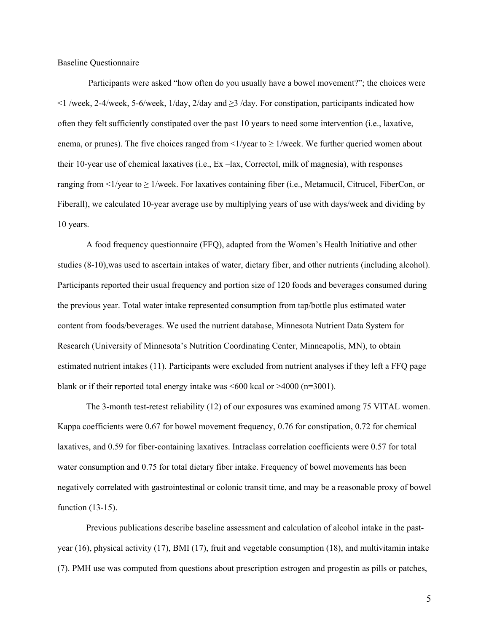Baseline Questionnaire

Participants were asked "how often do you usually have a bowel movement?"; the choices were <1 /week, 2-4/week, 5-6/week, 1/day, 2/day and ≥3 /day. For constipation, participants indicated how often they felt sufficiently constipated over the past 10 years to need some intervention (i.e., laxative, enema, or prunes). The five choices ranged from  $\lt 1$ /year to  $\geq 1$ /week. We further queried women about their 10-year use of chemical laxatives (i.e., Ex –lax, Correctol, milk of magnesia), with responses ranging from  $\leq$  1/week. For laxatives containing fiber (i.e., Metamucil, Citrucel, FiberCon, or Fiberall), we calculated 10-year average use by multiplying years of use with days/week and dividing by 10 years.

A food frequency questionnaire (FFQ), adapted from the Women's Health Initiative and other studies (8-10),was used to ascertain intakes of water, dietary fiber, and other nutrients (including alcohol). Participants reported their usual frequency and portion size of 120 foods and beverages consumed during the previous year. Total water intake represented consumption from tap/bottle plus estimated water content from foods/beverages. We used the nutrient database, Minnesota Nutrient Data System for Research (University of Minnesota's Nutrition Coordinating Center, Minneapolis, MN), to obtain estimated nutrient intakes (11). Participants were excluded from nutrient analyses if they left a FFQ page blank or if their reported total energy intake was  $\leq 600$  kcal or  $\geq 4000$  (n=3001).

The 3-month test-retest reliability (12) of our exposures was examined among 75 VITAL women. Kappa coefficients were 0.67 for bowel movement frequency, 0.76 for constipation, 0.72 for chemical laxatives, and 0.59 for fiber-containing laxatives. Intraclass correlation coefficients were 0.57 for total water consumption and 0.75 for total dietary fiber intake. Frequency of bowel movements has been negatively correlated with gastrointestinal or colonic transit time, and may be a reasonable proxy of bowel function (13-15).

Previous publications describe baseline assessment and calculation of alcohol intake in the pastyear (16), physical activity (17), BMI (17), fruit and vegetable consumption (18), and multivitamin intake (7). PMH use was computed from questions about prescription estrogen and progestin as pills or patches,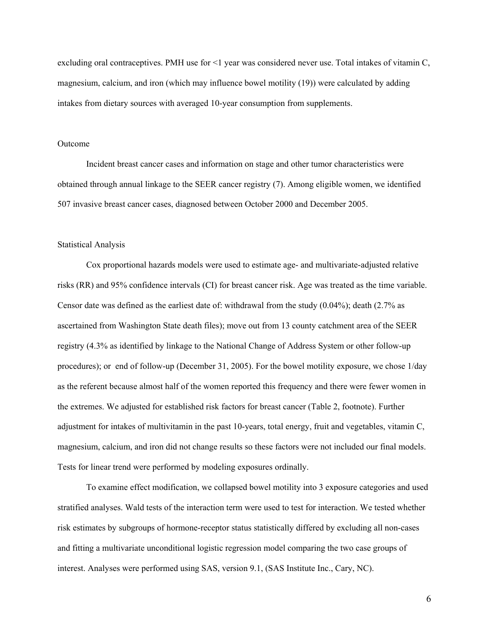excluding oral contraceptives. PMH use for <1 year was considered never use. Total intakes of vitamin C, magnesium, calcium, and iron (which may influence bowel motility (19)) were calculated by adding intakes from dietary sources with averaged 10-year consumption from supplements.

### Outcome

Incident breast cancer cases and information on stage and other tumor characteristics were obtained through annual linkage to the SEER cancer registry (7). Among eligible women, we identified 507 invasive breast cancer cases, diagnosed between October 2000 and December 2005.

#### Statistical Analysis

Cox proportional hazards models were used to estimate age- and multivariate-adjusted relative risks (RR) and 95% confidence intervals (CI) for breast cancer risk. Age was treated as the time variable. Censor date was defined as the earliest date of: withdrawal from the study (0.04%); death (2.7% as ascertained from Washington State death files); move out from 13 county catchment area of the SEER registry (4.3% as identified by linkage to the National Change of Address System or other follow-up procedures); or end of follow-up (December 31, 2005). For the bowel motility exposure, we chose 1/day as the referent because almost half of the women reported this frequency and there were fewer women in the extremes. We adjusted for established risk factors for breast cancer (Table 2, footnote). Further adjustment for intakes of multivitamin in the past 10-years, total energy, fruit and vegetables, vitamin C, magnesium, calcium, and iron did not change results so these factors were not included our final models. Tests for linear trend were performed by modeling exposures ordinally.

To examine effect modification, we collapsed bowel motility into 3 exposure categories and used stratified analyses. Wald tests of the interaction term were used to test for interaction. We tested whether risk estimates by subgroups of hormone-receptor status statistically differed by excluding all non-cases and fitting a multivariate unconditional logistic regression model comparing the two case groups of interest. Analyses were performed using SAS, version 9.1, (SAS Institute Inc., Cary, NC).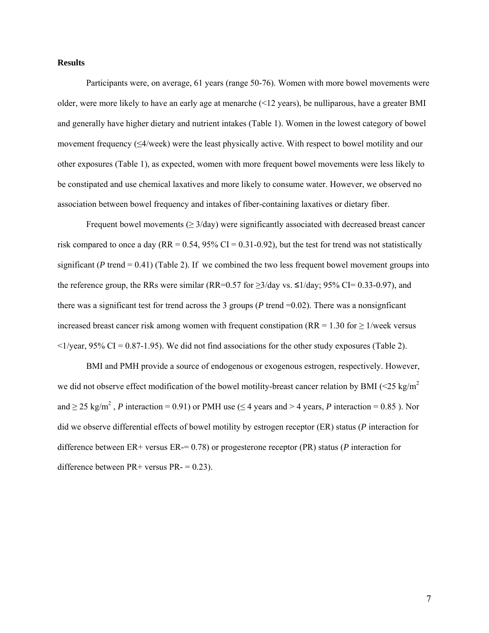### **Results**

Participants were, on average, 61 years (range 50-76). Women with more bowel movements were older, were more likely to have an early age at menarche (<12 years), be nulliparous, have a greater BMI and generally have higher dietary and nutrient intakes (Table 1). Women in the lowest category of bowel movement frequency  $(\leq 4$ /week) were the least physically active. With respect to bowel motility and our other exposures (Table 1), as expected, women with more frequent bowel movements were less likely to be constipated and use chemical laxatives and more likely to consume water. However, we observed no association between bowel frequency and intakes of fiber-containing laxatives or dietary fiber.

Frequent bowel movements ( $\geq 3$ /day) were significantly associated with decreased breast cancer risk compared to once a day (RR =  $0.54$ , 95% CI =  $0.31$ - $0.92$ ), but the test for trend was not statistically significant ( $P$  trend  $= 0.41$ ) (Table 2). If we combined the two less frequent bowel movement groups into the reference group, the RRs were similar (RR=0.57 for  $\geq 3$ /day vs.  $\leq 1$ /day; 95% CI= 0.33-0.97), and there was a significant test for trend across the 3 groups ( $P$  trend  $=0.02$ ). There was a nonsignificant increased breast cancer risk among women with frequent constipation ( $RR = 1.30$  for  $\geq 1$ /week versus  $\langle 1/\gamma$ ear, 95% CI = 0.87-1.95). We did not find associations for the other study exposures (Table 2).

BMI and PMH provide a source of endogenous or exogenous estrogen, respectively. However, we did not observe effect modification of the bowel motility-breast cancer relation by BMI ( $\leq$ 25 kg/m<sup>2</sup>) and  $\geq$  25 kg/m<sup>2</sup>, *P* interaction = 0.91) or PMH use ( $\leq$  4 years and > 4 years, *P* interaction = 0.85 ). Nor did we observe differential effects of bowel motility by estrogen receptor (ER) status (*P* interaction for difference between ER+ versus ER-= 0.78) or progesterone receptor (PR) status (*P* interaction for difference between  $PR+$  versus  $PR- = 0.23$ ).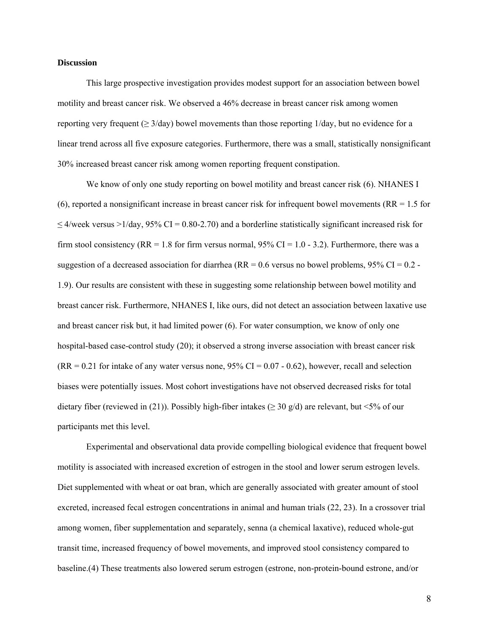#### **Discussion**

This large prospective investigation provides modest support for an association between bowel motility and breast cancer risk. We observed a 46% decrease in breast cancer risk among women reporting very frequent ( $\geq 3$ /day) bowel movements than those reporting 1/day, but no evidence for a linear trend across all five exposure categories. Furthermore, there was a small, statistically nonsignificant 30% increased breast cancer risk among women reporting frequent constipation.

We know of only one study reporting on bowel motility and breast cancer risk (6). NHANES I (6), reported a nonsignificant increase in breast cancer risk for infrequent bowel movements ( $RR = 1.5$  for  $\leq$  4/week versus >1/day, 95% CI = 0.80-2.70) and a borderline statistically significant increased risk for firm stool consistency (RR = 1.8 for firm versus normal,  $95\%$  CI = 1.0 - 3.2). Furthermore, there was a suggestion of a decreased association for diarrhea ( $RR = 0.6$  versus no bowel problems,  $95\%$  CI = 0.2 -1.9). Our results are consistent with these in suggesting some relationship between bowel motility and breast cancer risk. Furthermore, NHANES I, like ours, did not detect an association between laxative use and breast cancer risk but, it had limited power (6). For water consumption, we know of only one hospital-based case-control study (20); it observed a strong inverse association with breast cancer risk  $(RR = 0.21$  for intake of any water versus none, 95% CI = 0.07 - 0.62), however, recall and selection biases were potentially issues. Most cohort investigations have not observed decreased risks for total dietary fiber (reviewed in (21)). Possibly high-fiber intakes ( $\geq$  30 g/d) are relevant, but <5% of our participants met this level*.* 

Experimental and observational data provide compelling biological evidence that frequent bowel motility is associated with increased excretion of estrogen in the stool and lower serum estrogen levels. Diet supplemented with wheat or oat bran, which are generally associated with greater amount of stool excreted, increased fecal estrogen concentrations in animal and human trials (22, 23). In a crossover trial among women, fiber supplementation and separately, senna (a chemical laxative), reduced whole-gut transit time, increased frequency of bowel movements, and improved stool consistency compared to baseline.(4) These treatments also lowered serum estrogen (estrone, non-protein-bound estrone, and/or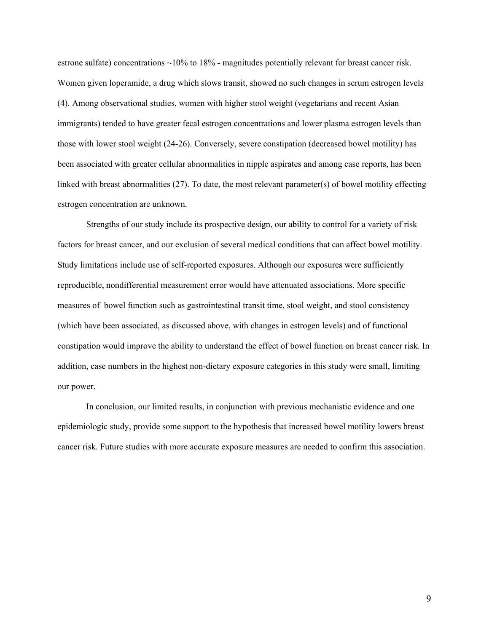estrone sulfate) concentrations  $\sim$ 10% to 18% - magnitudes potentially relevant for breast cancer risk. Women given loperamide, a drug which slows transit, showed no such changes in serum estrogen levels (4). Among observational studies, women with higher stool weight (vegetarians and recent Asian immigrants) tended to have greater fecal estrogen concentrations and lower plasma estrogen levels than those with lower stool weight (24-26). Conversely, severe constipation (decreased bowel motility) has been associated with greater cellular abnormalities in nipple aspirates and among case reports, has been linked with breast abnormalities (27). To date, the most relevant parameter(s) of bowel motility effecting estrogen concentration are unknown.

Strengths of our study include its prospective design, our ability to control for a variety of risk factors for breast cancer, and our exclusion of several medical conditions that can affect bowel motility. Study limitations include use of self-reported exposures. Although our exposures were sufficiently reproducible, nondifferential measurement error would have attenuated associations. More specific measures of bowel function such as gastrointestinal transit time, stool weight, and stool consistency (which have been associated, as discussed above, with changes in estrogen levels) and of functional constipation would improve the ability to understand the effect of bowel function on breast cancer risk. In addition, case numbers in the highest non-dietary exposure categories in this study were small, limiting our power.

In conclusion, our limited results, in conjunction with previous mechanistic evidence and one epidemiologic study, provide some support to the hypothesis that increased bowel motility lowers breast cancer risk. Future studies with more accurate exposure measures are needed to confirm this association.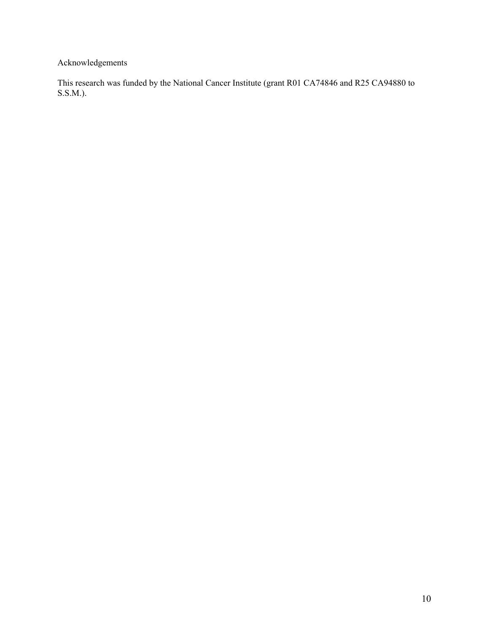Acknowledgements

This research was funded by the National Cancer Institute (grant R01 CA74846 and R25 CA94880 to S.S.M.).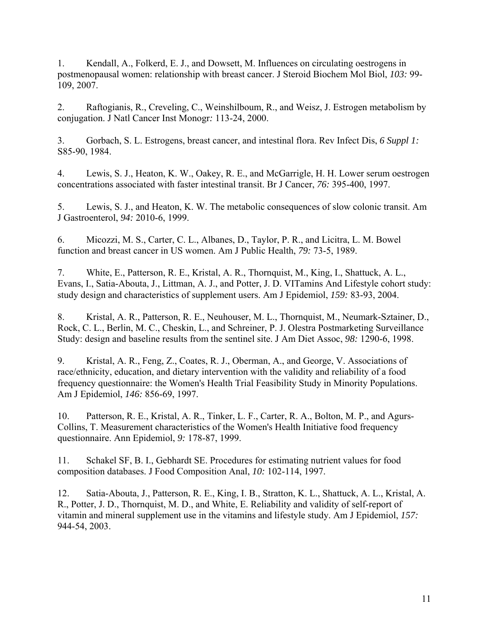1. Kendall, A., Folkerd, E. J., and Dowsett, M. Influences on circulating oestrogens in postmenopausal women: relationship with breast cancer. J Steroid Biochem Mol Biol, *103:* 99- 109, 2007.

2. Raftogianis, R., Creveling, C., Weinshilboum, R., and Weisz, J. Estrogen metabolism by conjugation. J Natl Cancer Inst Monogr*:* 113-24, 2000.

3. Gorbach, S. L. Estrogens, breast cancer, and intestinal flora. Rev Infect Dis, *6 Suppl 1:* S85-90, 1984.

4. Lewis, S. J., Heaton, K. W., Oakey, R. E., and McGarrigle, H. H. Lower serum oestrogen concentrations associated with faster intestinal transit. Br J Cancer, *76:* 395-400, 1997.

5. Lewis, S. J., and Heaton, K. W. The metabolic consequences of slow colonic transit. Am J Gastroenterol, *94:* 2010-6, 1999.

6. Micozzi, M. S., Carter, C. L., Albanes, D., Taylor, P. R., and Licitra, L. M. Bowel function and breast cancer in US women. Am J Public Health, *79:* 73-5, 1989.

7. White, E., Patterson, R. E., Kristal, A. R., Thornquist, M., King, I., Shattuck, A. L., Evans, I., Satia-Abouta, J., Littman, A. J., and Potter, J. D. VITamins And Lifestyle cohort study: study design and characteristics of supplement users. Am J Epidemiol, *159:* 83-93, 2004.

8. Kristal, A. R., Patterson, R. E., Neuhouser, M. L., Thornquist, M., Neumark-Sztainer, D., Rock, C. L., Berlin, M. C., Cheskin, L., and Schreiner, P. J. Olestra Postmarketing Surveillance Study: design and baseline results from the sentinel site. J Am Diet Assoc, *98:* 1290-6, 1998.

9. Kristal, A. R., Feng, Z., Coates, R. J., Oberman, A., and George, V. Associations of race/ethnicity, education, and dietary intervention with the validity and reliability of a food frequency questionnaire: the Women's Health Trial Feasibility Study in Minority Populations. Am J Epidemiol, *146:* 856-69, 1997.

10. Patterson, R. E., Kristal, A. R., Tinker, L. F., Carter, R. A., Bolton, M. P., and Agurs-Collins, T. Measurement characteristics of the Women's Health Initiative food frequency questionnaire. Ann Epidemiol, *9:* 178-87, 1999.

11. Schakel SF, B. I., Gebhardt SE. Procedures for estimating nutrient values for food composition databases. J Food Composition Anal, *10:* 102-114, 1997.

12. Satia-Abouta, J., Patterson, R. E., King, I. B., Stratton, K. L., Shattuck, A. L., Kristal, A. R., Potter, J. D., Thornquist, M. D., and White, E. Reliability and validity of self-report of vitamin and mineral supplement use in the vitamins and lifestyle study. Am J Epidemiol, *157:* 944-54, 2003.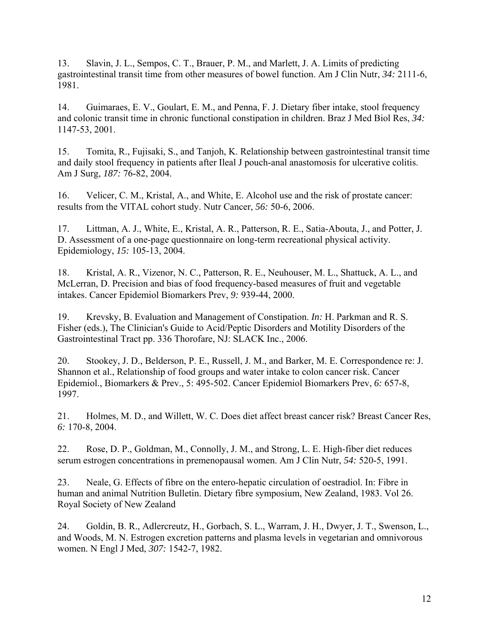13. Slavin, J. L., Sempos, C. T., Brauer, P. M., and Marlett, J. A. Limits of predicting gastrointestinal transit time from other measures of bowel function. Am J Clin Nutr, *34:* 2111-6, 1981.

14. Guimaraes, E. V., Goulart, E. M., and Penna, F. J. Dietary fiber intake, stool frequency and colonic transit time in chronic functional constipation in children. Braz J Med Biol Res, *34:* 1147-53, 2001.

15. Tomita, R., Fujisaki, S., and Tanjoh, K. Relationship between gastrointestinal transit time and daily stool frequency in patients after Ileal J pouch-anal anastomosis for ulcerative colitis. Am J Surg, *187:* 76-82, 2004.

16. Velicer, C. M., Kristal, A., and White, E. Alcohol use and the risk of prostate cancer: results from the VITAL cohort study. Nutr Cancer, *56:* 50-6, 2006.

17. Littman, A. J., White, E., Kristal, A. R., Patterson, R. E., Satia-Abouta, J., and Potter, J. D. Assessment of a one-page questionnaire on long-term recreational physical activity. Epidemiology, *15:* 105-13, 2004.

18. Kristal, A. R., Vizenor, N. C., Patterson, R. E., Neuhouser, M. L., Shattuck, A. L., and McLerran, D. Precision and bias of food frequency-based measures of fruit and vegetable intakes. Cancer Epidemiol Biomarkers Prev, *9:* 939-44, 2000.

19. Krevsky, B. Evaluation and Management of Constipation. *In:* H. Parkman and R. S. Fisher (eds.), The Clinician's Guide to Acid/Peptic Disorders and Motility Disorders of the Gastrointestinal Tract pp. 336 Thorofare, NJ: SLACK Inc., 2006.

20. Stookey, J. D., Belderson, P. E., Russell, J. M., and Barker, M. E. Correspondence re: J. Shannon et al., Relationship of food groups and water intake to colon cancer risk. Cancer Epidemiol., Biomarkers & Prev., 5: 495-502. Cancer Epidemiol Biomarkers Prev, *6:* 657-8, 1997.

21. Holmes, M. D., and Willett, W. C. Does diet affect breast cancer risk? Breast Cancer Res, *6:* 170-8, 2004.

22. Rose, D. P., Goldman, M., Connolly, J. M., and Strong, L. E. High-fiber diet reduces serum estrogen concentrations in premenopausal women. Am J Clin Nutr, *54:* 520-5, 1991.

23. Neale, G. Effects of fibre on the entero-hepatic circulation of oestradiol. In: Fibre in human and animal Nutrition Bulletin. Dietary fibre symposium, New Zealand, 1983. Vol 26. Royal Society of New Zealand

24. Goldin, B. R., Adlercreutz, H., Gorbach, S. L., Warram, J. H., Dwyer, J. T., Swenson, L., and Woods, M. N. Estrogen excretion patterns and plasma levels in vegetarian and omnivorous women. N Engl J Med, *307:* 1542-7, 1982.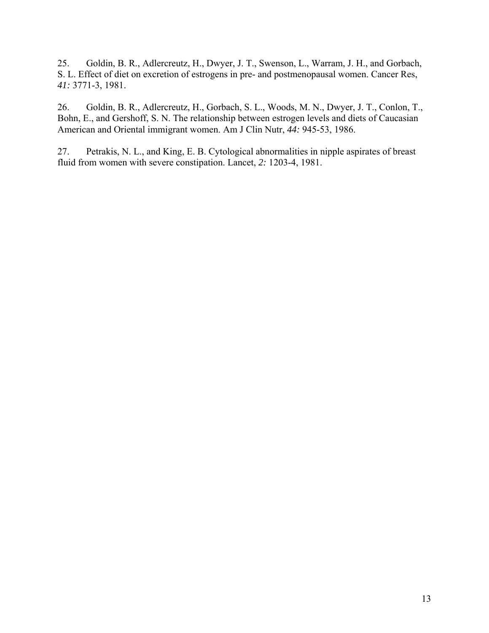25. Goldin, B. R., Adlercreutz, H., Dwyer, J. T., Swenson, L., Warram, J. H., and Gorbach, S. L. Effect of diet on excretion of estrogens in pre- and postmenopausal women. Cancer Res, *41:* 3771-3, 1981.

26. Goldin, B. R., Adlercreutz, H., Gorbach, S. L., Woods, M. N., Dwyer, J. T., Conlon, T., Bohn, E., and Gershoff, S. N. The relationship between estrogen levels and diets of Caucasian American and Oriental immigrant women. Am J Clin Nutr, *44:* 945-53, 1986.

27. Petrakis, N. L., and King, E. B. Cytological abnormalities in nipple aspirates of breast fluid from women with severe constipation. Lancet, *2:* 1203-4, 1981.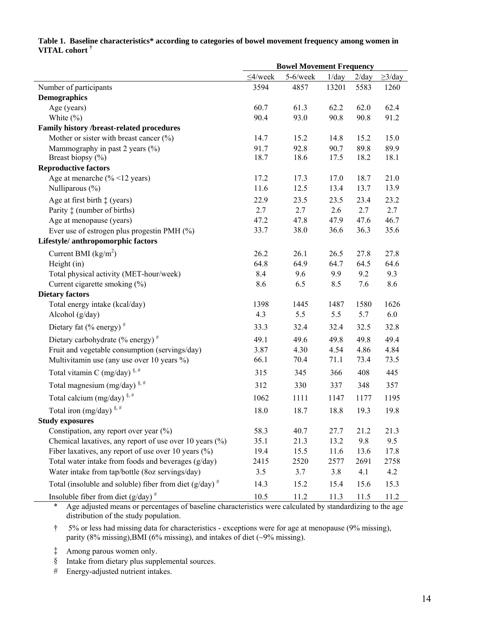## **Table 1. Baseline characteristics\* according to categories of bowel movement frequency among women in VITAL cohort †**

|                                                                        | <b>Bowel Movement Frequency</b> |          |       |       |              |
|------------------------------------------------------------------------|---------------------------------|----------|-------|-------|--------------|
|                                                                        | $\leq 4$ /week                  | 5-6/week | 1/day | 2/day | $\geq$ 3/day |
| Number of participants                                                 | 3594                            | 4857     | 13201 | 5583  | 1260         |
| <b>Demographics</b>                                                    |                                 |          |       |       |              |
| Age (years)                                                            | 60.7                            | 61.3     | 62.2  | 62.0  | 62.4         |
| White $(\% )$                                                          | 90.4                            | 93.0     | 90.8  | 90.8  | 91.2         |
| Family history /breast-related procedures                              |                                 |          |       |       |              |
| Mother or sister with breast cancer $(\% )$                            | 14.7                            | 15.2     | 14.8  | 15.2  | 15.0         |
| Mammography in past 2 years $(\% )$                                    | 91.7                            | 92.8     | 90.7  | 89.8  | 89.9         |
| Breast biopsy (%)                                                      | 18.7                            | 18.6     | 17.5  | 18.2  | 18.1         |
| <b>Reproductive factors</b>                                            |                                 |          |       |       |              |
| Age at menarche $(\frac{9}{6} < 12 \text{ years})$                     | 17.2                            | 17.3     | 17.0  | 18.7  | 21.0         |
| Nulliparous (%)                                                        | 11.6                            | 12.5     | 13.4  | 13.7  | 13.9         |
| Age at first birth $\ddagger$ (years)                                  | 22.9                            | 23.5     | 23.5  | 23.4  | 23.2         |
| Parity $\ddagger$ (number of births)                                   | 2.7                             | 2.7      | 2.6   | 2.7   | 2.7          |
| Age at menopause (years)                                               | 47.2                            | 47.8     | 47.9  | 47.6  | 46.7         |
| Ever use of estrogen plus progestin PMH (%)                            | 33.7                            | 38.0     | 36.6  | 36.3  | 35.6         |
| Lifestyle/ anthropomorphic factors                                     |                                 |          |       |       |              |
| Current BMI $(kg/m2)$                                                  | 26.2                            | 26.1     | 26.5  | 27.8  | 27.8         |
| Height (in)                                                            | 64.8                            | 64.9     | 64.7  | 64.5  | 64.6         |
| Total physical activity (MET-hour/week)                                | 8.4                             | 9.6      | 9.9   | 9.2   | 9.3          |
| Current cigarette smoking (%)                                          | 8.6                             | 6.5      | 8.5   | 7.6   | 8.6          |
| <b>Dietary factors</b>                                                 |                                 |          |       |       |              |
| Total energy intake (kcal/day)                                         | 1398                            | 1445     | 1487  | 1580  | 1626         |
| Alcohol (g/day)                                                        | 4.3                             | 5.5      | 5.5   | 5.7   | 6.0          |
| Dietary fat $(\%$ energy) <sup>#</sup>                                 | 33.3                            | 32.4     | 32.4  | 32.5  | 32.8         |
| Dietary carbohydrate $(\%$ energy) <sup>#</sup>                        | 49.1                            | 49.6     | 49.8  | 49.8  | 49.4         |
| Fruit and vegetable consumption (servings/day)                         | 3.87                            | 4.30     | 4.54  | 4.86  | 4.84         |
| Multivitamin use (any use over 10 years %)                             | 66.1                            | 70.4     | 71.1  | 73.4  | 73.5         |
| Total vitamin C (mg/day) $\frac{8.4}{7}$                               | 315                             | 345      | 366   | 408   | 445          |
| Total magnesium (mg/day) $\frac{8, \#}{4}$                             | 312                             | 330      | 337   | 348   | 357          |
| Total calcium (mg/day) $\frac{8, \#}{4}$                               | 1062                            | 1111     | 1147  | 1177  | 1195         |
| Total iron (mg/day) $\frac{8, \#}{4}$                                  | 18.0                            | 18.7     | 18.8  | 19.3  | 19.8         |
| <b>Study exposures</b>                                                 |                                 |          |       |       |              |
| Constipation, any report over year $(\%)$                              | 58.3                            | 40.7     | 27.7  | 21.2  | 21.3         |
| Chemical laxatives, any report of use over 10 years (%)                | 35.1                            | 21.3     | 13.2  | 9.8   | 9.5          |
| Fiber laxatives, any report of use over 10 years $(\%)$                | 19.4                            | 15.5     | 11.6  | 13.6  | 17.8         |
| Total water intake from foods and beverages (g/day)                    | 2415                            | 2520     | 2577  | 2691  | 2758         |
| Water intake from tap/bottle (8oz servings/day)                        | 3.5                             | 3.7      | 3.8   | 4.1   | 4.2          |
| Total (insoluble and soluble) fiber from diet ( $g/day$ ) <sup>#</sup> | 14.3                            | 15.2     | 15.4  | 15.6  | 15.3         |
| Insoluble fiber from diet $(g/day)^{\#}$                               | 10.5                            | 11.2     | 11.3  | 11.5  | 11.2         |

\* Age adjusted means or percentages of baseline characteristics were calculated by standardizing to the age distribution of the study population.

† 5% or less had missing data for characteristics - exceptions were for age at menopause (9% missing), parity (8% missing),BMI (6% missing), and intakes of diet (~9% missing).

‡ Among parous women only.

l.

§ Intake from dietary plus supplemental sources.

# Energy-adjusted nutrient intakes.